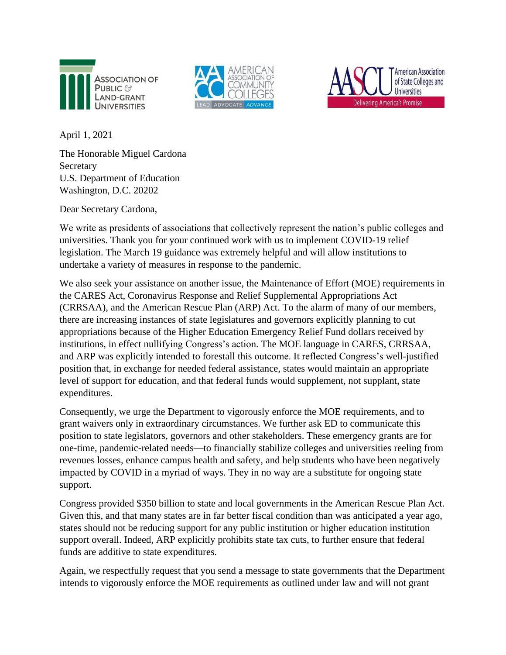





April 1, 2021

The Honorable Miguel Cardona Secretary U.S. Department of Education Washington, D.C. 20202

Dear Secretary Cardona,

We write as presidents of associations that collectively represent the nation's public colleges and universities. Thank you for your continued work with us to implement COVID-19 relief legislation. The March 19 guidance was extremely helpful and will allow institutions to undertake a variety of measures in response to the pandemic.

We also seek your assistance on another issue, the Maintenance of Effort (MOE) requirements in the CARES Act, Coronavirus Response and Relief Supplemental Appropriations Act (CRRSAA), and the American Rescue Plan (ARP) Act. To the alarm of many of our members, there are increasing instances of state legislatures and governors explicitly planning to cut appropriations because of the Higher Education Emergency Relief Fund dollars received by institutions, in effect nullifying Congress's action. The MOE language in CARES, CRRSAA, and ARP was explicitly intended to forestall this outcome. It reflected Congress's well-justified position that, in exchange for needed federal assistance, states would maintain an appropriate level of support for education, and that federal funds would supplement, not supplant, state expenditures.

Consequently, we urge the Department to vigorously enforce the MOE requirements, and to grant waivers only in extraordinary circumstances. We further ask ED to communicate this position to state legislators, governors and other stakeholders. These emergency grants are for one-time, pandemic-related needs—to financially stabilize colleges and universities reeling from revenues losses, enhance campus health and safety, and help students who have been negatively impacted by COVID in a myriad of ways. They in no way are a substitute for ongoing state support.

Congress provided \$350 billion to state and local governments in the American Rescue Plan Act. Given this, and that many states are in far better fiscal condition than was anticipated a year ago, states should not be reducing support for any public institution or higher education institution support overall. Indeed, ARP explicitly prohibits state tax cuts, to further ensure that federal funds are additive to state expenditures.

Again, we respectfully request that you send a message to state governments that the Department intends to vigorously enforce the MOE requirements as outlined under law and will not grant